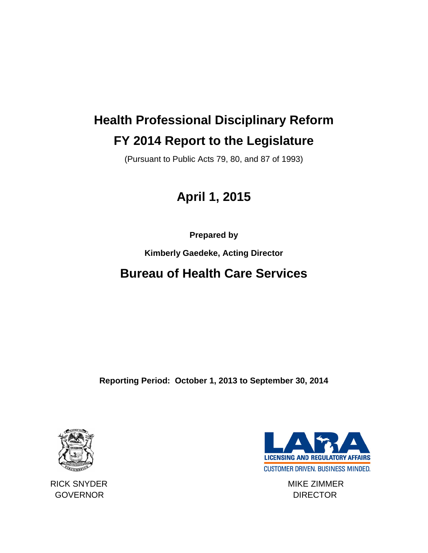# **Health Professional Disciplinary Reform FY 2014 Report to the Legislature**

(Pursuant to Public Acts 79, 80, and 87 of 1993)

## **April 1, 2015**

**Prepared by** 

**Kimberly Gaedeke, Acting Director**

## **Bureau of Health Care Services**

**Reporting Period: October 1, 2013 to September 30, 2014**





RICK SNYDER MIKE ZIMMER GOVERNOR DIRECTOR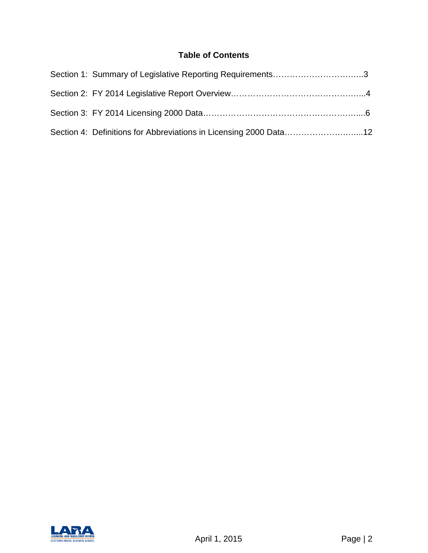## **Table of Contents**

| Section 1: Summary of Legislative Reporting Requirements3         |  |
|-------------------------------------------------------------------|--|
|                                                                   |  |
|                                                                   |  |
| Section 4: Definitions for Abbreviations in Licensing 2000 Data12 |  |

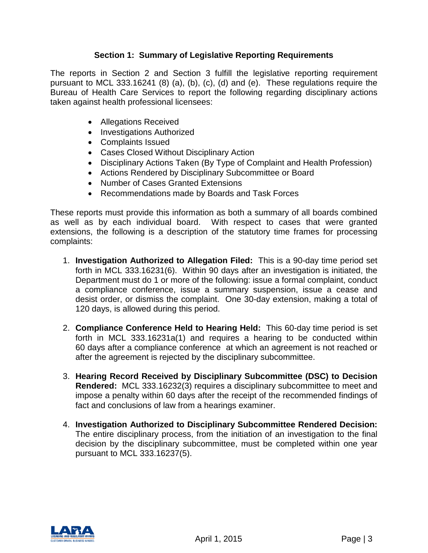## **Section 1: Summary of Legislative Reporting Requirements**

The reports in Section 2 and Section 3 fulfill the legislative reporting requirement pursuant to MCL 333.16241 (8) (a), (b), (c), (d) and (e). These regulations require the Bureau of Health Care Services to report the following regarding disciplinary actions taken against health professional licensees:

- Allegations Received
- Investigations Authorized
- Complaints Issued
- Cases Closed Without Disciplinary Action
- Disciplinary Actions Taken (By Type of Complaint and Health Profession)
- Actions Rendered by Disciplinary Subcommittee or Board
- Number of Cases Granted Extensions
- Recommendations made by Boards and Task Forces

These reports must provide this information as both a summary of all boards combined as well as by each individual board. With respect to cases that were granted extensions, the following is a description of the statutory time frames for processing complaints:

- 1. **Investigation Authorized to Allegation Filed:** This is a 90-day time period set forth in MCL 333.16231(6). Within 90 days after an investigation is initiated, the Department must do 1 or more of the following: issue a formal complaint, conduct a compliance conference, issue a summary suspension, issue a cease and desist order, or dismiss the complaint. One 30-day extension, making a total of 120 days, is allowed during this period.
- 2. **Compliance Conference Held to Hearing Held:** This 60-day time period is set forth in MCL 333.16231a(1) and requires a hearing to be conducted within 60 days after a compliance conference at which an agreement is not reached or after the agreement is rejected by the disciplinary subcommittee.
- 3. **Hearing Record Received by Disciplinary Subcommittee (DSC) to Decision Rendered:** MCL 333.16232(3) requires a disciplinary subcommittee to meet and impose a penalty within 60 days after the receipt of the recommended findings of fact and conclusions of law from a hearings examiner.
- 4. **Investigation Authorized to Disciplinary Subcommittee Rendered Decision:** The entire disciplinary process, from the initiation of an investigation to the final decision by the disciplinary subcommittee, must be completed within one year pursuant to MCL 333.16237(5).

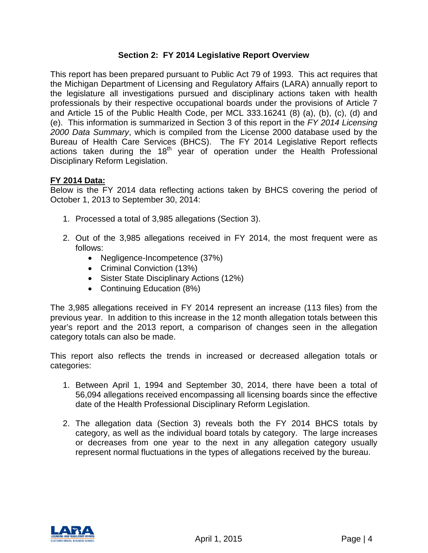## **Section 2: FY 2014 Legislative Report Overview**

This report has been prepared pursuant to Public Act 79 of 1993. This act requires that the Michigan Department of Licensing and Regulatory Affairs (LARA) annually report to the legislature all investigations pursued and disciplinary actions taken with health professionals by their respective occupational boards under the provisions of Article 7 and Article 15 of the Public Health Code, per MCL 333.16241 (8) (a), (b), (c), (d) and (e). This information is summarized in Section 3 of this report in the *FY 2014 Licensing 2000 Data Summary*, which is compiled from the License 2000 database used by the Bureau of Health Care Services (BHCS). The FY 2014 Legislative Report reflects actions taken during the  $18<sup>th</sup>$  year of operation under the Health Professional Disciplinary Reform Legislation.

### **FY 2014 Data:**

Below is the FY 2014 data reflecting actions taken by BHCS covering the period of October 1, 2013 to September 30, 2014:

- 1. Processed a total of 3,985 allegations (Section 3).
- 2. Out of the 3,985 allegations received in FY 2014, the most frequent were as follows:
	- Negligence-Incompetence (37%)
	- Criminal Conviction (13%)
	- Sister State Disciplinary Actions (12%)
	- Continuing Education (8%)

The 3,985 allegations received in FY 2014 represent an increase (113 files) from the previous year. In addition to this increase in the 12 month allegation totals between this year's report and the 2013 report, a comparison of changes seen in the allegation category totals can also be made.

This report also reflects the trends in increased or decreased allegation totals or categories:

- 1. Between April 1, 1994 and September 30, 2014, there have been a total of 56,094 allegations received encompassing all licensing boards since the effective date of the Health Professional Disciplinary Reform Legislation.
- 2. The allegation data (Section 3) reveals both the FY 2014 BHCS totals by category, as well as the individual board totals by category. The large increases or decreases from one year to the next in any allegation category usually represent normal fluctuations in the types of allegations received by the bureau.

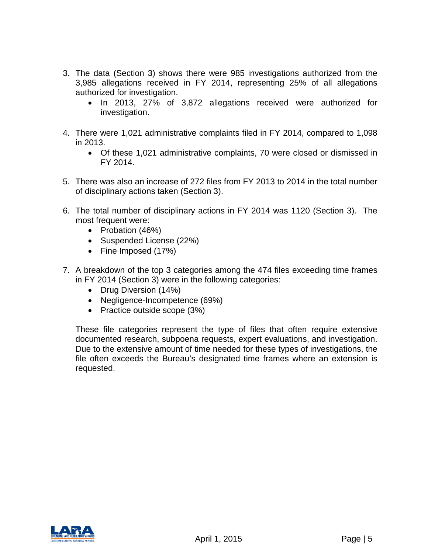- 3. The data (Section 3) shows there were 985 investigations authorized from the 3,985 allegations received in FY 2014, representing 25% of all allegations authorized for investigation.
	- In 2013, 27% of 3,872 allegations received were authorized for investigation.
- 4. There were 1,021 administrative complaints filed in FY 2014, compared to 1,098 in 2013.
	- Of these 1,021 administrative complaints, 70 were closed or dismissed in FY 2014.
- 5. There was also an increase of 272 files from FY 2013 to 2014 in the total number of disciplinary actions taken (Section 3).
- 6. The total number of disciplinary actions in FY 2014 was 1120 (Section 3). The most frequent were:
	- Probation (46%)
	- Suspended License (22%)
	- Fine Imposed (17%)
- 7. A breakdown of the top 3 categories among the 474 files exceeding time frames in FY 2014 (Section 3) were in the following categories:
	- Drug Diversion (14%)
	- Negligence-Incompetence (69%)
	- Practice outside scope (3%)

These file categories represent the type of files that often require extensive documented research, subpoena requests, expert evaluations, and investigation. Due to the extensive amount of time needed for these types of investigations, the file often exceeds the Bureau's designated time frames where an extension is requested.

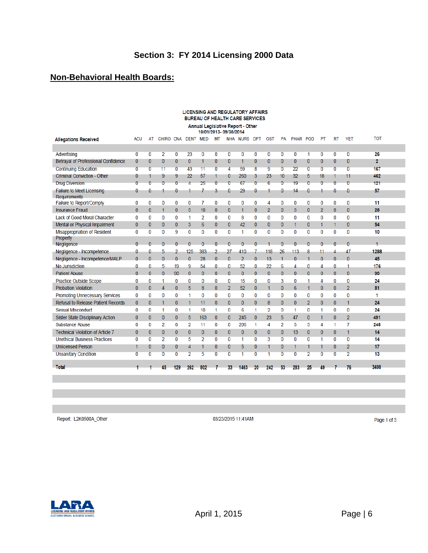## **Non-Behavioral Health Boards:**

| <b>LICENSING AND REGULATORY AFFAIRS</b><br><b>BUREAU OF HEALTH CARE SERVICES</b> |                |                |                |                |                |                 |                |                |                |                |                |                |                 |                |                |                |                |            |
|----------------------------------------------------------------------------------|----------------|----------------|----------------|----------------|----------------|-----------------|----------------|----------------|----------------|----------------|----------------|----------------|-----------------|----------------|----------------|----------------|----------------|------------|
| Annual Legislative Report - Other<br>10/01/2013-09/30/2014                       |                |                |                |                |                |                 |                |                |                |                |                |                |                 |                |                |                |                |            |
| <b>Allegations Received</b>                                                      | <b>ACU</b>     | AT             | CHIRO CNA      |                |                | <b>DENT MED</b> | <b>MT</b>      |                | NHA NURS OPT   |                | <b>OST</b>     | PA             | PHAR POD        |                | PT             | <b>RT</b>      | <b>VET</b>     | <b>TOT</b> |
|                                                                                  |                |                |                |                |                |                 |                |                |                |                |                |                |                 |                |                |                |                |            |
| Advertising                                                                      | 0              | 0              | $\overline{2}$ | 0              | 23             | 0               | 0              | 0              | 0              | 0              | 0              | 0              | 0               | 1              | 0              | $\overline{0}$ | 0              | 26         |
| Betrayal of Professional Confidence                                              | 0              | $\bf{0}$       | $\mathbf{0}$   | 0              | 0              | 1               | $\mathbf{0}$   | $\mathbf{0}$   | 1              | $\bf{0}$       | 0              | $\bf{0}$       | $\bf{0}$        | 0              | 0              | $\mathbf{0}$   | 0              | 2          |
| <b>Continuing Education</b>                                                      | $\overline{0}$ | $\overline{0}$ | 11             | $\overline{0}$ | 43             | 11              | $\overline{0}$ | 4              | 59             | 8              | 9              | $\overline{0}$ | 22              | $\overline{0}$ | $\overline{0}$ | $\overline{0}$ | 0              | 167        |
| <b>Criminal Conviction - Other</b>                                               | 0              |                | 9              | 9              | 22             | 57              |                | 0              | 260            | 3              | 23             | 10             | 32              | 5              | 18             | 1              | 11             | 462        |
| <b>Drug Diversion</b>                                                            | Ō              | $\Omega$       | 0              | $\overline{0}$ | $\overline{A}$ | 25              | 0              | $\overline{0}$ | 67             | $\overline{0}$ | 6              | $\overline{0}$ | 19              | $\overline{0}$ | $\overline{0}$ | $\overline{0}$ | 0              | 121        |
| Failure to Meet Licensing<br>Requirements                                        | 0              | 0              |                | 0              |                | 7               | 3              | 0              | 29             | 0              |                | 0              | 14              | 0              |                | 0              | 0              | 57         |
| Failure to Report/Comply                                                         | 0              | 0              | 0              | 0              | 0              | 7               | 0              | 0              | 0              | 0              | 4              | 0              | 0               | 0              | 0              | 0              | 0              | 11         |
| <b>Insurance Fraud</b>                                                           | 0              | $\mathbf{0}$   | 1              | $\bf{0}$       | 5              | 10              | $\mathbf{0}$   | $\bf{0}$       | 1              | $\bf{0}$       | $\overline{2}$ | $\mathbf{0}$   | 5               | $\bf{0}$       | $\overline{2}$ | $\mathbf{0}$   | $\bf{0}$       | 26         |
| Lack of Good Moral Character                                                     | 0              | 0              | 0              | 0              | 1              | 2               | 0              | 0              | 8              | 0              | 0              | 0              | 0               | 0              | 0              | 0              | 0              | 11         |
| Mental or Physical Impairment                                                    | 0              | $\mathbf{0}$   | $\mathbf{0}$   | 0              | 3              | 6               | $\mathbf{0}$   | $\bf{0}$       | 42             | $\mathbf{0}$   | $\mathbf{0}$   | $\mathbf{0}$   | 1               | $\bf{0}$       | 1              | $\mathbf{1}$   | 0              | 54         |
| Misappropriation of Resident                                                     | 0              | 0              | 0              | 9              | 0              | 0               | 0              | 0              | 1              | 0              | 0              | 0              | $\bf{0}$        | 0              | 0              | 0              | 0              | 10         |
| Property<br>Negligence                                                           | $\Omega$       | $\Omega$       | $\theta$       | $\overline{0}$ | $\Omega$       | $\Omega$        | $\theta$       | $\theta$       | $\overline{0}$ | $\Omega$       | $\mathbf{1}$   | $\Omega$       | $\Omega$        | $\overline{0}$ | $\Omega$       | $\theta$       | $\theta$       | 1          |
| Negligence - Incompetence                                                        | ٥              | ۵              | 5              | 2              | 125            | 383             | 2              | 27             | 410            | 7              | 118            | 26             | 113             | 8              | 11             | 4              | 47             | 1288       |
| Negligence - Incompetence/MALP                                                   | $\Omega$       | $\Omega$       | $\Omega$       | $\mathbf{0}$   | $\Omega$       | 28              | $\Omega$       | $\Omega$       | $\overline{2}$ | $\Omega$       | 13             |                | $\Omega$        | 1              | $\Omega$       | $\Omega$       | $\Omega$       | 45         |
| No Jurisdiction                                                                  | ۵              | 0              | 5              | 19             | 9              | 54              | 0              | 0              | 52             | 0              | 22             | 6              | 4               | 0              | 4              | 0              | 1              | 176        |
| <b>Patient Abuse</b>                                                             | $\Omega$       | $\Omega$       | $\Omega$       | 90             | $\Omega$       | $\mathbf{0}$    | $\Omega$       | $\mathbf{0}$   | $\overline{0}$ | $\Omega$       | $\Omega$       | $\Omega$       | $\Omega$        | $\overline{0}$ | $\Omega$       | $\Omega$       | $\Omega$       | 90         |
| Practice Outside Scope                                                           | 0              | 0              | 1              | 0              | 0              | 0               | 0              | 0              | 15             | 0              | 0              | 3              | 0               | 1              | 4              | 0              | 0              | 24         |
| <b>Probation Violation</b>                                                       | $\overline{0}$ | $\overline{0}$ | $\overline{4}$ | $\bf{0}$       | 5              | 8               | $\mathbf{0}$   | $\overline{2}$ | 52             | $\overline{0}$ | $\mathbf{1}$   | $\mathbf{0}$   | $6\phantom{1}6$ | $\mathbf{1}$   | $\bf{0}$       | $\overline{0}$ | $\overline{2}$ | 81         |
| Promoting Unnecessary Services                                                   | 0              | 0              | 0              | 0              | 1              | 0               | 0              | 0              | 0              | 0              | 0              | 0              | $\bf{0}$        | 0              | 0              | 0              | 0              | 1          |
| <b>Refusal to Release Patient Records</b>                                        | 0              | $\bf{0}$       | 1              | $\bf{0}$       | 1              | 11              | $\mathbf{0}$   | 0              | 0              | $\overline{0}$ | 8              | $\overline{0}$ | $\bf{0}$        | $\overline{2}$ | 0              | $\mathbf{0}$   | 1              | 24         |
| <b>Sexual Misconduct</b>                                                         | 0              | 0              | 1              | 0              | 1              | 10              | 1              | 0              | 6              | 1              | $\overline{2}$ | 0              | 1               | 0              | 1              | 0              | 0              | 24         |
| Sister State Disciplinary Action                                                 | 0              | $\mathbf{0}$   | $\mathbf{0}$   | $\bf{0}$       | 5              | 163             | $\mathbf{0}$   | $\mathbf{0}$   | 245            | $\overline{0}$ | 23             | 5              | 47              | 0              | 1              | $\mathbf{0}$   | $\overline{2}$ | 491        |
| <b>Substance Abuse</b>                                                           | 0              | 0              | $\overline{2}$ | 0              | $\overline{2}$ | 11              | 0              | 0              | 206            | 1              | 4              | $\overline{2}$ | 5               | 3              | 4              | 1              | 7              | 248        |
| <b>Technical Violation of Article 7</b>                                          | 0              | $\mathbf{0}$   | $\mathbf{0}$   | $\mathbf{0}$   | $\overline{0}$ | 0               | $\mathbf{0}$   | $\mathbf{0}$   | 0              | $\overline{0}$ | 0              | $\mathbf{0}$   | 13              | $\mathbf{0}$   | $\mathbf{0}$   | $\overline{0}$ | 1              | 14         |
| <b>Unethical Business Practices</b>                                              | 0              | 0              | 2              | $\bf{0}$       | 5              | 2               | 0              | 0              | 1              | 0              | 3              | 0              | 0               | 0              | 1              | 0              | $\bf{0}$       | 14         |
| <b>Unlicensed Person</b>                                                         | 1              | $\bf{0}$       | $\bf{0}$       | 0              | 4              | 1               | $\mathbf{0}$   | 0              | 5              | 0              | 1              | 0              | 1               | 1              | 1              | $\mathbf{0}$   | 2              | 17         |
| <b>Unsanitary Condition</b>                                                      | 0              | $\overline{0}$ | Ō              | $\overline{0}$ | $\overline{2}$ | 5               | 0              | $\overline{0}$ | 1              | $\overline{0}$ | 1              | $\overline{0}$ | 0               | $\overline{2}$ | $\overline{0}$ | $\overline{0}$ | $\overline{2}$ | 13         |
| Total                                                                            |                |                | 45             | 129            | 262            | 802             |                | 33             | 1463           | 20             | 242            | 53             | 283             | 25             | 49             |                | 76             | 3498       |
|                                                                                  |                |                |                |                |                |                 |                |                |                |                |                |                |                 |                |                |                |                |            |

Report: L2K0500A\_Other

03/23/2015 11:41AM

Page 1 of 3

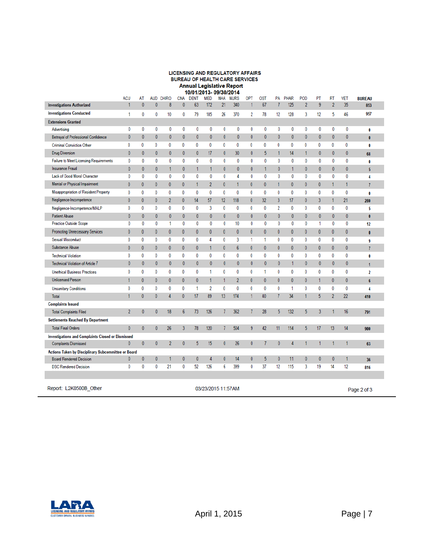#### LICENSING AND REGULATORY AFFAIRS BUREAU OF HEALTH CARE SERVICES Annual Legislative Report<br>10/01/2013-09/30/2014

|                                                          | <b>ACU</b>                        | AT<br>$\theta$   | <b>AUD</b>       | <b>CHIRO</b><br>8 | <b>CNA</b><br>$\bf{0}$ | <b>DENT</b>  | <b>MED</b>     | NHA          | <b>NURS</b>     | OPT          | <b>OST</b>   | PA           | PHAR         | POD            | PT<br>9      | RT<br>$\overline{\phantom{a}}$ | VET          | <b>BUREAU</b>           |
|----------------------------------------------------------|-----------------------------------|------------------|------------------|-------------------|------------------------|--------------|----------------|--------------|-----------------|--------------|--------------|--------------|--------------|----------------|--------------|--------------------------------|--------------|-------------------------|
| <b>Investigations Authorized</b>                         |                                   |                  | $\mathbf{0}$     |                   |                        | 63           | 172            | 21           | 340             | 1            | 67           |              | 125          | $\overline{2}$ |              |                                | 35           | 853                     |
| <b>Investigations Conducted</b>                          | 1                                 | 0                | 0                | 10                | 0                      | 79           | 185            | 26           | 370             | 2            | 78           | 12           | 128          | 3              | 12           | 5                              | 46           | 957                     |
| <b>Extensions Granted</b>                                |                                   |                  |                  |                   |                        |              |                |              |                 |              |              |              |              |                |              |                                |              |                         |
| Advertising                                              | 0                                 | 0                | 0                | 0                 | 0                      | 0            | 0              | 0            | 0               | 0            | 0            | 0            | 0            | 0              | 0            | 0                              | 0            | 0                       |
| <b>Betrayal of Professional Confidence</b>               | $\bf{0}$                          | $\theta$         | $\bf{0}$         | 0                 | $\mathbf{0}$           | $\bf{0}$     | $\mathbf{0}$   | 0            | $\mathbf{0}$    | 0            | $\mathbf{0}$ | $\mathbf{0}$ | $\bf{0}$     | $\bf{0}$       | $\bf{0}$     | 0                              | 0            | $\bf{0}$                |
| <b>Criminal Conviction Other</b>                         | 0                                 | 0                | 0                | 0                 | 0                      | 0            | 0              | $\bf{0}$     | 0               | 0            | 0            | 0            | 0            | 0              | 0            | 0                              | 0            | 0                       |
| Drug Diversion                                           | $\bf{0}$                          | $\mathbf{0}$     | $\mathbf{0}$     | 0                 | $\mathbf{0}$           | $\bf{0}$     | 17             | 0            | 30 <sup>°</sup> | $\mathbf{0}$ | 5            | 1            | 14           | $\mathbf{1}$   | $\mathbf{0}$ | 0                              | 0            | 68                      |
| Failure to Meet Licensing Requirements                   | 0                                 | 0                | 0                | 0                 | 0                      | 0            | 0              | 0            | 0               | 0            | 0            | 0            | 0            | 0              | 0            | 0                              | 0            | 0                       |
| <b>Insurance Fraud</b>                                   | $\bf{0}$                          | $\mathbf{0}$     | $\bf{0}$         | 1                 | $\mathbf{0}$           | 1            | $\mathbf{1}$   | $\mathbf{0}$ | $\mathbf{0}$    | $\mathbf{0}$ | 1            | $\mathbf{0}$ | $\mathbf{1}$ | $\bf{0}$       | $\mathbf{0}$ | $\mathbf{0}$                   | $\mathbf{0}$ | 5                       |
| Lack of Good Moral Character                             | 0                                 | 0                | 0                | 0                 | 0                      | 0            | 0              | 0            | 4               | 0            | 0            | 0            | 0            | 0              | 0            | 0                              | 0            | 4                       |
| Mental or Physical Impairment                            | $\bf{0}$                          | 0                | $\bf{0}$         | 0                 | 0                      | 1            | $\overline{2}$ | $\mathbf{0}$ | 1               | $\mathbf{0}$ | $\bf{0}$     | 1            | 0            | $\mathbf{0}$   | 0            | 1                              | 1            | $\overline{1}$          |
| Misappropriation of Resident Property                    | 0                                 | 0                | 0                | 0                 | 0                      | 0            | 0              | 0            | 0               | 0            | 0            | 0            | 0            | 0              | 0            | 0                              | 0            | 0                       |
| Negligence-Incompetence                                  | $\bf{0}$                          | $\mathbf{0}$     | $\bf{0}$         | $\overline{2}$    | $\bf{0}$               | 14           | 57             | 12           | 118             | $\mathbf{0}$ | 32           | 3            | 17           | $\mathbf{0}$   | 3            | 1                              | 21           | 280                     |
| Negligence-Incompetence/MALP                             | 0                                 | 0                | 0                | 0                 | 0                      | 0            | 3              | 0            | 0               | 0            | 0            | 2            | 0            | 0              | 0            | 0                              | 0            | 5                       |
| Patient Abuse                                            | $\pmb{0}$                         | $\bf{0}$         | $\bf{0}$         | $\mathbf{0}$      | $\pmb{0}$              | $\bf{0}$     | $\pmb{0}$      | $\mathbf{0}$ | $\bf{0}$        | $\mathbf{0}$ | $\mathbf{0}$ | $\mathbf{0}$ | $\bf{0}$     | $\mathbf{0}$   | $\bf{0}$     | 0                              | 0            | $\bf{0}$                |
| Practice Outside Scope                                   | 0                                 | 0                | 0                | 1                 | 0                      | 0            | 0              | 0            | 10              | 0            | 0            | 0            | 0            | 0              | 1            | 0                              | 0            | 12                      |
| <b>Promoting Unnecessary Services</b>                    | $\mathbf{0}$                      | $\mathbf{0}$     | $\bf{0}$         | 0                 | $\mathbf{0}$           | 0            | $\mathbf{0}$   | $\mathbf{0}$ | $\mathbf{0}$    | $\mathbf{0}$ | $\mathbf{0}$ | 0            | $\bf{0}$     | $\mathbf{0}$   | $\bf{0}$     | $\theta$                       | $\mathbf{0}$ | $\mathbf{0}$            |
| <b>Sexual Misconduct</b>                                 | 0                                 | 0                | 0                | 0                 | 0                      | 0            | 4              | 0            | 3               | 1            | 1            | 0            | 0            | 0              | 0            | 0                              | 0            | 9                       |
| Substance Abuse                                          | $\bf{0}$                          | $\bf{0}$         | $\bf{0}$         | $\mathbf{0}$      | $\bf{0}$               | 0            | 1              | $\mathbf{0}$ | $6\phantom{.0}$ | $\mathbf{0}$ | $\mathbf{0}$ | $\mathbf{0}$ | $\bf{0}$     | $\mathbf{0}$   | 0            | $\bf{0}$                       | 0            | 7                       |
| <b>Technical Violation</b>                               | 0                                 | 0                | 0                | 0                 | 0                      | 0            | 0              | 0            | 0               | 0            | 0            | 0            | 0            | 0              | 0            | 0                              | 0            | 0                       |
| <b>Technical Violation of Article 7</b>                  | $\mathbf{0}$                      | $\mathbf{0}$     | $\mathbf{0}$     | $\mathbf{0}$      | $\mathbf{0}$           | $\bf{0}$     | $\mathbf{0}$   | 0            | $\mathbf{0}$    | $\mathbf{0}$ | $\mathbf{0}$ | $\mathbf{0}$ | 1            | $\mathbf{0}$   | $\mathbf{0}$ | $\mathbf{0}$                   | 0            | 1                       |
| <b>Unethical Business Practices</b>                      | 0                                 | 0                | 0                | 0                 | 0                      | 0            | 1              | 0            | 0               | 0            | 1            | 0            | 0            | 0              | 0            | 0                              | 0            | $\overline{\mathbf{2}}$ |
| <b>Unlicensed Person</b>                                 | 1                                 | $\mathbf{0}$     | $\bf{0}$         | 0                 | $\mathbf{0}$           | $\mathbf{0}$ | $\mathbf{1}$   | 1            | $\overline{2}$  | $\mathbf{0}$ | $\mathbf{0}$ | 0            | $\mathbf{0}$ | $\mathbf{0}$   | $\mathbf{1}$ | $\mathbf{0}$                   | $\mathbf{0}$ | 6                       |
| <b>Unsanitary Conditions</b>                             | 0                                 | 0                | 0                | 0                 | 0                      | 1            | 2              | 0            | 0               | 0            | 0            | 0            | 1            | 0              | 0            | 0                              | 0            | 4                       |
| Total                                                    | 1                                 | $\mathbf{0}$     | $\bf{0}$         | 4                 | $\mathbf{0}$           | 17           | 89             | 13           | 174             | 1            | 40           | 7            | 34           | 1              | 5            | $\overline{2}$                 | 22           | 410                     |
| <b>Complaints Issued</b>                                 |                                   |                  |                  |                   |                        |              |                |              |                 |              |              |              |              |                |              |                                |              |                         |
| <b>Total Complaints Filed</b>                            | $\overline{2}$                    | $\mathbf{0}$     | $\mathbf{0}$     | 18                | 6                      | 73           | 126            | 7            | 362             | 7            | 28           | 5            | 132          | 5              | 3            |                                | 16           | 791                     |
| <b>Settlements Reached By Department</b>                 |                                   |                  |                  |                   |                        |              |                |              |                 |              |              |              |              |                |              |                                |              |                         |
| <b>Total Final Orders</b>                                | $\mathbf{0}$                      | $\mathbf{0}$     | $\mathbf{0}$     | 26                | 3                      | 78           | 120            | 7            | 504             | 9            | 42           | 11           | 114          | 5              | 17           | 13                             | 14           | 900                     |
| <b>Investigations and Complaints Closed or Dismissed</b> |                                   |                  |                  |                   |                        |              |                |              |                 |              |              |              |              |                |              |                                |              |                         |
| <b>Complaints Dismissed</b>                              | $\mathbf{0}$                      | $\bf{0}$         | $\mathbf{0}$     | $\overline{2}$    | $\pmb{0}$              | 5            | 15             | $\mathbf{0}$ | 26              | $\bf{0}$     | 7            | $\mathbf{0}$ | 4            | 1              | 1            |                                | 1            | 63                      |
| Actions Taken by Disciplinary Subcommittee or Board      |                                   |                  |                  |                   |                        |              |                |              |                 |              |              |              |              |                |              |                                |              |                         |
| <b>Board Rendered Decision</b>                           | $\bf{0}$                          | $\boldsymbol{0}$ | $\boldsymbol{0}$ | 1                 | $\mathbf{0}$           | 0            | 4              | 0            | 14              | 0            | 5            | 0            | 11           | $\bf{0}$       | $\bf{0}$     | 0                              | 1            | 36                      |
| <b>DSC Rendered Decision</b>                             | 0                                 | 0                | 0                | 21                | 0                      | 52           | 126            | 6            | 399             | 0            | 37           | 12           | 115          | 3              | 19           | 14                             | 12           | 816                     |
|                                                          |                                   |                  |                  |                   |                        |              |                |              |                 |              |              |              |              |                |              |                                |              |                         |
|                                                          |                                   |                  |                  |                   |                        |              |                |              |                 |              |              |              |              |                |              |                                |              |                         |
| Report: L2K0500B Other                                   | 03/23/2015 11:57AM<br>Page 2 of 3 |                  |                  |                   |                        |              |                |              |                 |              |              |              |              |                |              |                                |              |                         |

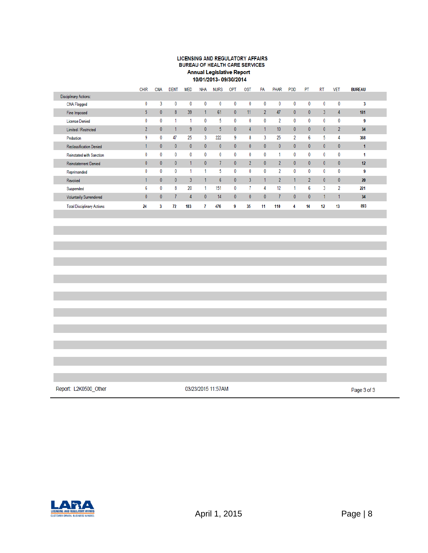## **LICENSING AND REGULATORY AFFAIRS** BUREAU OF HEALTH CARE SERVICES Annual Legislative Report<br>10/01/2013- 09/30/2014

|                                   | <b>CHIR</b>    | <b>CNA</b>   | <b>DENT</b>  | <b>MED</b>     | <b>NHA</b>   | <b>NURS</b>    | OPT          | <b>OST</b>     | PA             | PHAR           | POD            | PT             | <b>RT</b>      | <b>VET</b>     | <b>BUREAU</b> |
|-----------------------------------|----------------|--------------|--------------|----------------|--------------|----------------|--------------|----------------|----------------|----------------|----------------|----------------|----------------|----------------|---------------|
| <b>Disciplinary Actions:</b>      |                |              |              |                |              |                |              |                |                |                |                |                |                |                |               |
| CNA Flagged                       | 0              | 3            | 0            | 0              | 0            | 0              | 0            | $\bf{0}$       | 0              | 0              | 0              | 0              | 0              | 0              | 3             |
| Fine Imposed                      | 5              | $\mathbf{0}$ | 8            | 39             |              | 61             | $\mathbf{0}$ | 11             | $\overline{2}$ | 47             | $\mathbf{0}$   | $\theta$       | $\overline{3}$ | 4              | 181           |
| <b>License Denied</b>             | 0              | 0            |              |                | 0            | 5              | 0            | 0              | 0              | $\overline{2}$ | 0              | 0              | 0              | 0              | 9             |
| <b>Limited / Restricted</b>       | $\overline{2}$ | $\mathbf{0}$ |              | 9              | $\mathbf{0}$ | 5              | $\mathbf{0}$ | $\Delta$       |                | 10             | $\mathbf{0}$   | $\mathbf{0}$   | $\mathbf{0}$   | $\overline{2}$ | 34            |
| Probation                         | 9              | 0            | 47           | 25             | 3            | 222            | 9            | 8              | 3              | 25             | $\overline{2}$ | 6              | 5              | 4              | 368           |
| Reclassification Denied           |                | $\mathbf{0}$ | $\mathbf{0}$ | $\mathbf{0}$   | $\mathbf{0}$ | $\mathbf{0}$   | $\theta$     | $\mathbf{0}$   | $\mathbf{0}$   | $\mathbf{0}$   | $\mathbf{0}$   | $\theta$       | $\mathbf{0}$   | $\mathbf{0}$   |               |
| Reinstated with Sanction          | 0              | 0            | 0            | 0              | 0            | 0              | 0            | 0              | 0              | 4              | 0              | 0              | 0              | 0              |               |
| Reinstatement Denied              | 0              | $\mathbf{0}$ | $\mathbf{0}$ |                | $\mathbf{0}$ |                | $\mathbf{0}$ | $\overline{2}$ | $\bf{0}$       | $\overline{2}$ | $\mathbf{0}$   | $\mathbf{0}$   | $\mathbf{0}$   | $\mathbf{0}$   | 12            |
| Reprimanded                       | 0              | 0            | 0            |                |              | 5              | 0            | 0              | 0              | 2              | 0              | 0              | 0              | 0              | 9             |
| Revoked                           |                | $\mathbf{0}$ | $\mathbf{0}$ | $\overline{3}$ |              | 6 <sup>5</sup> | $\mathbf{0}$ | $\mathbf{3}$   |                | $\overline{2}$ |                | $\mathfrak{p}$ | $\mathbf{0}$   | $\mathbf{0}$   | 20            |
| Suspended                         | 6              | $\mathbf{0}$ | 8            | 20             |              | 151            | 0            |                | 4              | 12             |                | 6              | 3              | 2              | 221           |
| <b>Voluntarily Surrendered</b>    | $\mathbf{0}$   | $\theta$     |              | 4              | $\mathbf{0}$ | 14             | $\mathbf{0}$ | $\mathbf{0}$   | $\bf{0}$       | 7              | $\mathbf{0}$   | $\theta$       |                |                | 34            |
| <b>Total Disciplinary Actions</b> | 24             | 3            | 72           | 103            |              | 476            | 9            | 35             | 11             | 110            |                | 14             | 12             | 13             | 893           |

Report: L2K0500\_Other

03/23/2015 11:57AM

Page 3 of 3

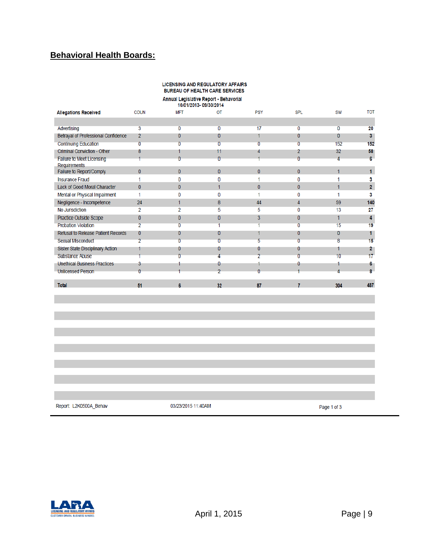## **Behavioral Health Boards:**

## LICENSING AND REGULATORY AFFAIRS BUREAU OF HEALTH CARE SERVICES Annual Legislative Report - Behavorial<br>10/01/2013-09/30/2014

| <b>Allegations Received</b>                      | <b>COUN</b>    | <b>MFT</b>     | OT             | PSY            | <b>SPL</b>     | SW  | <b>TOT</b>     |
|--------------------------------------------------|----------------|----------------|----------------|----------------|----------------|-----|----------------|
|                                                  |                |                |                |                |                |     |                |
| Advertising                                      | 3              | 0              | 0              | 17             | 0              | 0   | 20             |
| Betrayal of Professional Confidence              | 2              | $\mathbf{0}$   | 0              | 1              | 0              | 0   | 3 <sup>1</sup> |
| <b>Continuing Education</b>                      | 0              | $\overline{0}$ | 0              | Ō              | $\overline{0}$ | 152 | 152            |
| <b>Criminal Conviction - Other</b>               | 8              |                | 11             | 4              | 2              | 32  | 58             |
| <b>Failure to Meet Licensing</b><br>Requirements |                | $\overline{0}$ | $\overline{0}$ |                | 0              | 4   | 6              |
| Failure to Report/Comply                         | $\mathbf{0}$   | $\mathbf{0}$   | $\bf{0}$       | $\mathbf{0}$   | $\Omega$       | 1   | 1              |
| <b>Insurance Fraud</b>                           |                | 0              | 0              | 1              | O              |     | 3              |
| Lack of Good Moral Character                     | $\mathbf{0}$   | $\mathbf{0}$   | 1              | $\mathbf{0}$   | 0              |     | $\overline{2}$ |
| Mental or Physical Impairment                    | 1              | 0              | 0              | 1              | 0              |     | 3              |
| Negligence - Incompetence                        | 24             | 1              | 8              | 44             | 4              | 59  | 140            |
| No Jurisdiction                                  | 2              | 2              | 5              | 5              | $\Omega$       | 13  | 27             |
| Practice Outside Scope                           | $\mathbf{0}$   | $\overline{0}$ | 0              | 3              | $\mathbf{0}$   | 1   | 4              |
| <b>Probation Violation</b>                       | $\overline{2}$ | $\overline{0}$ | 1              |                | Ō              | 15  | 19             |
| Refusal to Release Patient Records               | 0              | $\mathbf{0}$   | 0              |                | 0              | 0   |                |
| <b>Sexual Misconduct</b>                         | $\overline{2}$ | 0              | 0              | 5              | O              | 8   | 15             |
| Sister State Disciplinary Action                 |                | 0              | 0              | 0              | 0              |     | 2              |
| <b>Substance Abuse</b>                           |                | Ō              | Λ              | $\overline{2}$ | ō              | 10  | 17             |
| <b>Unethical Business Practices</b>              | 3              |                | θ              |                | 0              |     | 6.             |
| <b>Unlicensed Person</b>                         | $\overline{0}$ |                | $\overline{2}$ | 0              |                |     | g              |
| <b>Total</b>                                     | 51             | 6              | 32             | 87             | 7              | 304 | 487            |
|                                                  |                |                |                |                |                |     |                |
|                                                  |                |                |                |                |                |     |                |
|                                                  |                |                |                |                |                |     |                |
|                                                  |                |                |                |                |                |     |                |

Report: L2K0500A\_Behav

03/23/2015 11:40AM

Page 1 of 3

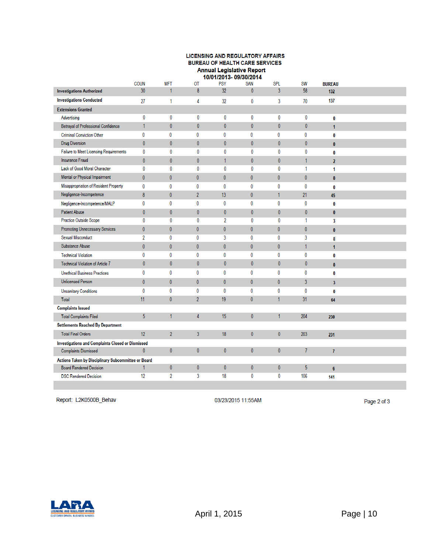#### LICENSING AND REGULATORY AFFAIRS **BUREAU OF HEALTH CARE SERVICES** Annual Legislative Report<br>10/01/2013-09/30/2014

|                                                          |                 |                |                | זוטטופט יטו טאוו טוטו | ,,,          |                |                |                         |  |
|----------------------------------------------------------|-----------------|----------------|----------------|-----------------------|--------------|----------------|----------------|-------------------------|--|
|                                                          | COUN            | <b>MFT</b>     | ОΤ             | <b>PSY</b>            | SAN          | <b>SPL</b>     | <b>SW</b>      | <b>BUREAU</b>           |  |
| <b>Investigations Authorized</b>                         | 30 <sup>°</sup> | 1              | 8              | 32                    | 0            | $\overline{3}$ | 58             | 132                     |  |
| <b>Investigations Conducted</b>                          | 27              | 1              | 4              | 32                    | 0            | 3              | 70             | 137                     |  |
| <b>Extensions Granted</b>                                |                 |                |                |                       |              |                |                |                         |  |
| Advertising                                              | 0               | 0              | 0              | $\bf{0}$              | 0            | 0              | $\bf{0}$       | 0                       |  |
| Betrayal of Professional Confidence                      | 1               | $\mathbf{0}$   | $\mathbf{0}$   | $\mathbf{0}$          | $\mathbf{0}$ | $\mathbf{0}$   | $\mathbf{0}$   | $\overline{1}$          |  |
| <b>Criminal Conviction Other</b>                         | 0               | 0              | 0              | 0                     | 0            | 0              | 0              | 0                       |  |
| <b>Drug Diversion</b>                                    | $\mathbf{0}$    | $\mathbf{0}$   | $\mathbf{0}$   | $\mathbf{0}$          | $\mathbf{0}$ | $\mathbf{0}$   | $\bf{0}$       | $\mathbf{0}$            |  |
| Failure to Meet Licensing Requirements                   | 0               | 0              | 0              | $\bf{0}$              | 0            | 0              | 0              | 0                       |  |
| <b>Insurance Fraud</b>                                   | $\mathbf{0}$    | $\mathbf{0}$   | $\mathbf{0}$   | $\mathbf{1}$          | $\mathbf{0}$ | $\mathbf{0}$   | 1              | $\overline{2}$          |  |
| Lack of Good Moral Character                             | 0               | 0              | 0              | $\bf{0}$              | 0            | 0              | 1              | 1                       |  |
| Mental or Physical Impairment                            | $\mathbf{0}$    | $\mathbf{0}$   | $\mathbf{0}$   | $\mathbf{0}$          | $\mathbf{0}$ | $\mathbf{0}$   | $\mathbf{0}$   | $\mathbf{0}$            |  |
| Misappropriation of Resident Property                    | 0               | 0              | 0              | 0                     | 0            | 0              | 0              | $\bf{0}$                |  |
| Negligence-Incompetence                                  | 8               | $\mathbf{0}$   | $\overline{2}$ | 13                    | $\mathbf{0}$ | 1              | 21             | 45                      |  |
| Negligence-Incompetence/MALP                             | 0               | 0              | 0              | 0                     | 0            | 0              | 0              | $\bf{0}$                |  |
| Patient Abuse                                            | $\mathbf{0}$    | $\mathbf{0}$   | $\mathbf{0}$   | $\mathbf{0}$          | $\mathbf{0}$ | 0              | $\mathbf{0}$   | $\mathbf{0}$            |  |
| Practice Outside Scope                                   | 0               | 0              | 0              | $\overline{2}$        | 0            | 0              | 1              | $\overline{\mathbf{3}}$ |  |
| Promoting Unnecessary Services                           | $\mathbf{0}$    | $\mathbf{0}$   | $\mathbf{0}$   | $\pmb{0}$             | $\mathbf{0}$ | $\mathbf{0}$   | $\bf{0}$       | $\mathbf{0}$            |  |
| Sexual Misconduct                                        | 2               | 0              | 0              | 3                     | 0            | 0              | 3              | 8                       |  |
| Substance Abuse                                          | $\mathbf{0}$    | $\mathbf{0}$   | $\mathbf{0}$   | $\mathbf{0}$          | $\mathbf{0}$ | $\mathbf{0}$   | $\mathbf{1}$   | 1                       |  |
| <b>Technical Violation</b>                               | 0               | 0              | 0              | 0                     | 0            | 0              | 0              | 0                       |  |
| Technical Violation of Article 7                         | $\mathbf{0}$    | $\mathbf{0}$   | $\mathbf{0}$   | $\mathbf{0}$          | $\mathbf{0}$ | 0              | $\mathbf{0}$   | $\mathbf{0}$            |  |
| <b>Unethical Business Practices</b>                      | 0               | 0              | 0              | 0                     | 0            | 0              | 0              | 0                       |  |
| Unlicensed Person                                        | $\mathbf{0}$    | $\mathbf{0}$   | $\mathbf{0}$   | $\mathbf{0}$          | $\mathbf{0}$ | $\mathbf{0}$   | $\overline{3}$ | $\overline{\mathbf{3}}$ |  |
| <b>Unsanitary Conditions</b>                             | 0               | 0              | 0              | 0                     | 0            | 0              | 0              | 0                       |  |
| <b>Total</b>                                             | 11              | $\mathbf{0}$   | $\overline{2}$ | 19                    | $\mathbf{0}$ | 1              | 31             | 64                      |  |
| <b>Complaints Issued</b>                                 |                 |                |                |                       |              |                |                |                         |  |
| <b>Total Complaints Filed</b>                            | 5               | 1              | 4              | 15                    | $\mathbf{0}$ | 1              | 204            | 230                     |  |
| <b>Settlements Reached By Department</b>                 |                 |                |                |                       |              |                |                |                         |  |
| <b>Total Final Orders</b>                                | 12              | $\overline{2}$ | $\overline{3}$ | 18                    | $\mathbf{0}$ | $\mathbf{0}$   | 203            | 231                     |  |
| <b>Investigations and Complaints Closed or Dismissed</b> |                 |                |                |                       |              |                |                |                         |  |
| <b>Complaints Dismissed</b>                              | $\mathbf{0}$    | $\mathbf{0}$   | $\mathbf{0}$   | $\mathbf{0}$          | 0            | 0              | 7              | $\overline{I}$          |  |
| Actions Taken by Disciplinary Subcommittee or Board      |                 |                |                |                       |              |                |                |                         |  |
| <b>Board Rendered Decision</b>                           | 1               | 0              | $\bf{0}$       | $\bf{0}$              | 0            | 0              | 5              | $6\phantom{1}$          |  |
| <b>DSC Rendered Decision</b>                             | 12              | 2              | 3              | 18                    | 0            | 0              | 106            | 141                     |  |
|                                                          |                 |                |                |                       |              |                |                |                         |  |

Report: L2K0500B\_Behav

03/23/2015 11:55AM

Page 2 of 3

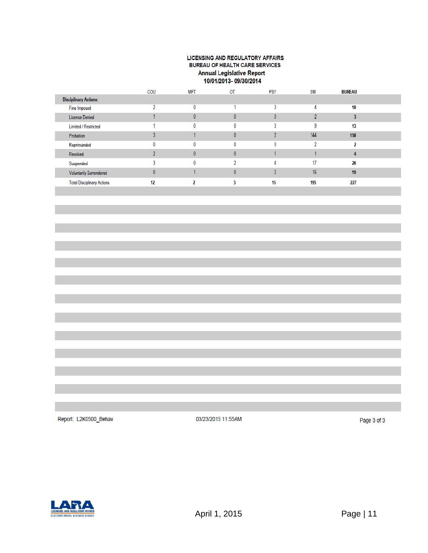#### LICENSING AND REGULATORY AFFAIRS BUREAU OF HEALTH CARE SERVICES **Annual Legislative Report** 10/01/2013-09/30/2014

|                                   | COU | <b>MFT</b> | OT | <b>PSY</b>   | <b>SW</b> | <b>BUREAU</b> |  |
|-----------------------------------|-----|------------|----|--------------|-----------|---------------|--|
| <b>Disciplinary Actions:</b>      |     |            |    |              |           |               |  |
| Fine Imposed                      |     | 0          |    |              |           | 10            |  |
| License Denied                    |     |            |    | $\mathbf{0}$ |           |               |  |
| <b>Limited / Restricted</b>       |     | 0          |    |              |           | 13            |  |
| Probation                         |     |            |    |              | 144       | 150           |  |
| Reprimanded                       |     | 0          |    | 0            |           |               |  |
| Revoked                           |     |            |    |              |           |               |  |
| Suspended                         |     | 0          |    |              | 17        | 26            |  |
| <b>Voluntarily Surrendered</b>    |     |            |    |              | 16        | 19            |  |
| <b>Total Disciplinary Actions</b> | 12  |            |    | 15           | 195       | 227           |  |

Report: L2K0500\_Behav

03/23/2015 11:55AM

Page 3 of 3